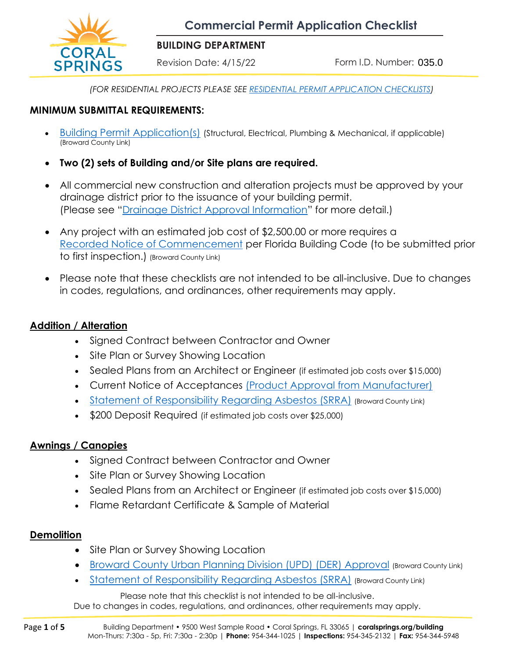**Commercial Permit Application Checklist**



#### **BUILDING DEPARTMENT**

Revision Date: 4/15/22

Form I.D. Number: 035.0

*(FOR RESIDENTIAL PROJECTS PLEASE SEE [RESIDENTIAL PERMIT APPLICATION CHECKLISTS\)](https://csbizassist.org/building/index.html)*

#### **MINIMUM SUBMITTAL REQUIREMENTS:**

- [Building Permit Application\(s\)](https://www.coralsprings.org/BuildingPermitApplication) (Structural, Electrical, Plumbing & Mechanical, if applicable) (Broward County Link)
- **Two (2) sets of Building and/or Site plans are required.**
- All commercial new construction and alteration projects must be approved by your drainage district prior to the issuance of your building permit. (Please see "[Drainage District Approval Information](https://www.coralsprings.org/files/assets/public/documents/building/building-forms/025.0-drainage-district-approval-information-ada.pdf)" for more detail.)
- Any project with an estimated job cost of \$2,500.00 or more requires a [Recorded Notice of Commencement](https://www.coralsprings.org/BuildingNoticeofCommencement) per Florida Building Code (to be submitted prior to first inspection.) (Broward County Link)
- Please note that these checklists are not intended to be all-inclusive. Due to changes in codes, regulations, and ordinances, other requirements may apply.

## **Addition / Alteration**

- Signed Contract between Contractor and Owner
- Site Plan or Survey Showing Location
- Sealed Plans from an Architect or Engineer (if estimated job costs over \$15,000)
- Current Notice of Acceptances [\(Product Approval from Manufacturer\)](https://www.coralsprings.org/files/assets/public/documents/building/building-forms/014.0-product-approval-submittal-packet-ada.pdf)
- [Statement of Responsibility Regarding Asbestos \(SRRA\)](https://www.coralsprings.org/buildingStatementResponsibilitiesAsbestos) (Broward County Link)
- \$200 Deposit Required (if estimated job costs over \$25,000)

### **Awnings / Canopies**

- Signed Contract between Contractor and Owner
- Site Plan or Survey Showing Location
- Sealed Plans from an Architect or Engineer (if estimated job costs over \$15,000)
- Flame Retardant Certificate & Sample of Material

### **Demolition**

- Site Plan or Survey Showing Location
- [Broward County Urban Planning Division \(UPD\) \(DER\) Approval](https://www.coralsprings.org/BuildingDERDApproval) (Broward County Link)
- [Statement of Responsibility Regarding Asbestos \(SRRA\)](https://www.coralsprings.org/buildingStatementResponsibilitiesAsbestos) (Broward County Link)

Please note that this checklist is not intended to be all-inclusive.

Due to changes in codes, regulations, and ordinances, other requirements may apply.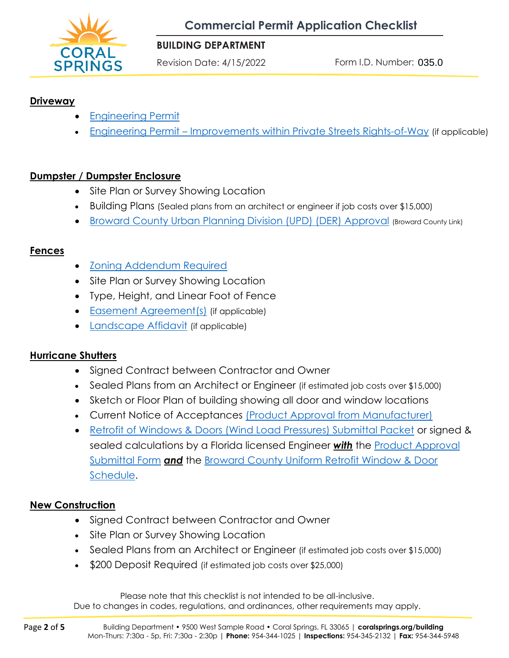

#### **BUILDING DEPARTMENT**

Revision Date: 4/15/2022

Form I.D. Number: 035.0

### **Driveway**

- [Engineering Permit](https://www.coralsprings.org/files/assets/public/documents/building/building-forms/02-engineering-permit-application.pdf)
- Engineering Permit [Improvements within Private Streets Rights-of-Way](https://www.coralsprings.org/files/assets/public/documents/building/building-forms/02a-engineering-permit-improvements-within-private-streets-rights-of-way.pdf) (if applicable)

#### **Dumpster / Dumpster Enclosure**

- Site Plan or Survey Showing Location
- Building Plans (Sealed plans from an architect or engineer if job costs over \$15,000)
- [Broward County Urban Planning Division \(UPD\) \(DER\) Approval](https://www.coralsprings.org/BuildingDERDApproval) (Broward County Link)

#### **Fences**

- [Zoning Addendum Required](https://www.coralsprings.org/files/assets/public/documents/building/building-forms/099.1-building-permit-application-zoning-addendum-ada.pdf)
- Site Plan or Survey Showing Location
- Type, Height, and Linear Foot of Fence
- [Easement Agreement\(s\)](https://www.coralsprings.org/files/assets/public/documents/building/building-forms/030.2-easement-agreement-ada.pdf) (if applicable)
- [Landscape Affidavit](https://www.coralsprings.org/files/assets/public/documents/building/building-forms/030.3-landscaping-affidavit-ada.pdf) (if applicable)

#### **Hurricane Shutters**

- Signed Contract between Contractor and Owner
- Sealed Plans from an Architect or Engineer (if estimated job costs over \$15,000)
- Sketch or Floor Plan of building showing all door and window locations
- Current Notice of Acceptances [\(Product Approval from Manufacturer\)](https://www.coralsprings.org/files/assets/public/documents/building/building-forms/014.0-product-approval-submittal-packet-ada.pdf)
- [Retrofit of Windows & Doors \(Wind Load Pressures\) Submittal Packet](https://www.coralsprings.org/files/assets/public/documents/building/building-forms/015.1-retrofit-of-windows-doors-submittal-packet-adapartial.pdf) or signed & sealed calculations by a Florida licensed Engineer *with* the [Product Approval](https://www.coralsprings.org/files/assets/public/documents/building/building-forms/014.0-product-approval-submittal-form-ada.pdf) [Submittal Form](https://www.coralsprings.org/files/assets/public/documents/building/building-forms/014.0-product-approval-submittal-form-ada.pdf) *and* the [Broward County Uniform Retrofit Window & Door](https://www.coralsprings.org/files/assets/public/documents/building/building-forms/015.2-broward-county-uniform-retrofit-window-door-schedule-ada.pdf) [Schedule.](https://www.coralsprings.org/files/assets/public/documents/building/building-forms/015.2-broward-county-uniform-retrofit-window-door-schedule-ada.pdf)

#### **New Construction**

- Signed Contract between Contractor and Owner
- Site Plan or Survey Showing Location
- Sealed Plans from an Architect or Engineer (if estimated job costs over \$15,000)
- \$200 Deposit Required (if estimated job costs over \$25,000)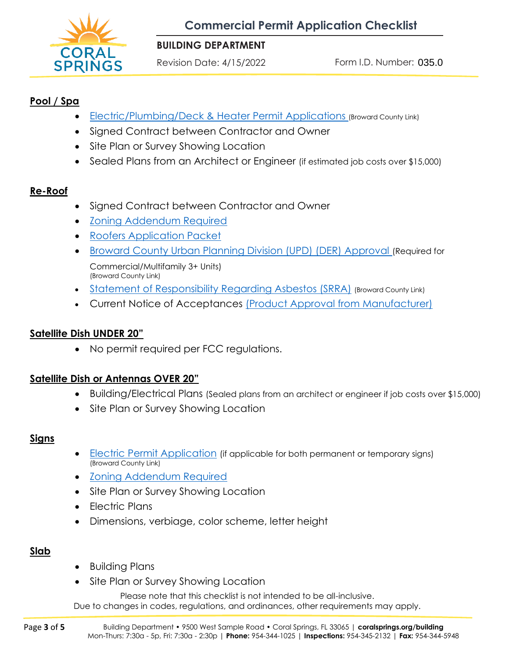

#### **BUILDING DEPARTMENT**

Revision Date: 4/15/2022

Form I.D. Number: 035.0

## **Pool / Spa**

- **[Electric/Plumbing/Deck & Heater Permit Applications](https://www.coralsprings.org/BuildingPermitApplication) (Broward County Link)**
- Signed Contract between Contractor and Owner
- Site Plan or Survey Showing Location
- Sealed Plans from an Architect or Engineer (if estimated job costs over \$15,000)

## **Re-Roof**

- Signed Contract between Contractor and Owner
- [Zoning Addendum Required](https://www.coralsprings.org/files/assets/public/documents/building/building-forms/099.1-building-permit-application-zoning-addendum-ada.pdf)
- [Roofers Application Packet](https://www.coralsprings.org/files/assets/public/documents/building/building-forms/013.1-roofers-application-packet-ada.pdf)
- [Broward County Urban Planning Division \(UPD\) \(DER\) Approval](https://www.coralsprings.org/BuildingDERDApproval) (Required for Commercial/Multifamily 3+ Units) (Broward County Link)
- [Statement of Responsibility Regarding Asbestos \(SRRA\)](https://www.coralsprings.org/buildingStatementResponsibilitiesAsbestos) (Broward County Link)
- Current Notice of Acceptances [\(Product Approval from Manufacturer\)](https://www.coralsprings.org/files/assets/public/documents/building/building-forms/014.0-product-approval-submittal-packet-ada.pdf)

## **Satellite Dish UNDER 20"**

• No permit required per FCC regulations.

### **Satellite Dish or Antennas OVER 20"**

- Building/Electrical Plans (Sealed plans from an architect or engineer if job costs over \$15,000)
- Site Plan or Survey Showing Location

#### **Signs**

- Electric [Permit Application](https://www.coralsprings.org/BuildingPermitApplication) (if applicable for both permanent or temporary signs) (Broward County Link)
- [Zoning Addendum Required](https://www.coralsprings.org/files/assets/public/documents/building/building-forms/099.1-building-permit-application-zoning-addendum-ada.pdf)
- Site Plan or Survey Showing Location
- Electric Plans
- Dimensions, verbiage, color scheme, letter height

### **Slab**

- Building Plans
- Site Plan or Survey Showing Location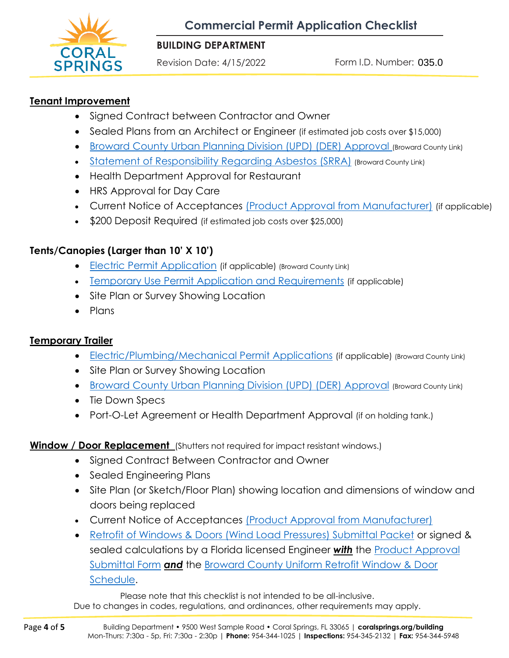

### **BUILDING DEPARTMENT**

Revision Date: 4/15/2022

Form I.D. Number: 035.0

## **Tenant Improvement**

- Signed Contract between Contractor and Owner
- Sealed Plans from an Architect or Engineer (if estimated job costs over \$15,000)
- [Broward County Urban Planning Division \(UPD\) \(DER\) Approval](https://www.coralsprings.org/BuildingDERDApproval) (Broward County Link)
- [Statement of Responsibility Regarding Asbestos \(SRRA\)](https://www.coralsprings.org/buildingStatementResponsibilitiesAsbestos) (Broward County Link)
- Health Department Approval for Restaurant
- HRS Approval for Day Care
- Current Notice of Acceptances [\(Product Approval from Manufacturer\)](https://www.coralsprings.org/files/assets/public/documents/building/building-forms/014.0-product-approval-submittal-packet-ada.pdf) (if applicable)
- \$200 Deposit Required (if estimated job costs over \$25,000)

# **Tents/Canopies (Larger than 10' X 10')**

- Electric [Permit Application](https://www.coralsprings.org/BuildingPermitApplication) (if applicable) (Broward County Link)
- Temporary Use Permit [Application and Requirements](https://www.coralsprings.org/files/assets/public/documents/building/building-forms/034.0-temporary-use-permit-application-requirements-ada.pdf) (if applicable)
- Site Plan or Survey Showing Location
- Plans

# **Temporary Trailer**

- [Electric/Plumbing/Mechanical Permit Applications](https://www.coralsprings.org/BuildingPermitApplication) (if applicable) (Broward County Link)
- Site Plan or Survey Showing Location
- [Broward County Urban Planning Division \(UPD\) \(DER\) Approval](https://www.coralsprings.org/BuildingDERDApproval) (Broward County Link)
- Tie Down Specs
- Port-O-Let Agreement or Health Department Approval (if on holding tank.)

# **Window / Door Replacement** (Shutters not required for impact resistant windows.)

- Signed Contract Between Contractor and Owner
- Sealed Engineering Plans
- Site Plan (or Sketch/Floor Plan) showing location and dimensions of window and doors being replaced
- Current Notice of Acceptances [\(Product Approval from Manufacturer\)](https://www.coralsprings.org/files/assets/public/documents/building/building-forms/014.0-product-approval-submittal-packet-ada.pdf)
- [Retrofit of Windows & Doors \(Wind Load Pressures\) Submittal Packet](https://www.coralsprings.org/files/assets/public/documents/building/building-forms/015.1-retrofit-of-windows-doors-submittal-packet-adapartial.pdf) or signed & sealed calculations by a Florida licensed Engineer *with* the [Product Approval](https://www.coralsprings.org/files/assets/public/documents/building/building-forms/014.0-product-approval-submittal-form-ada.pdf) [Submittal Form](https://www.coralsprings.org/files/assets/public/documents/building/building-forms/014.0-product-approval-submittal-form-ada.pdf) *and* the [Broward County Uniform Retrofit Window & Door](https://www.coralsprings.org/files/assets/public/documents/building/building-forms/015.2-broward-county-uniform-retrofit-window-door-schedule-ada.pdf) [Schedule.](https://www.coralsprings.org/files/assets/public/documents/building/building-forms/015.2-broward-county-uniform-retrofit-window-door-schedule-ada.pdf)